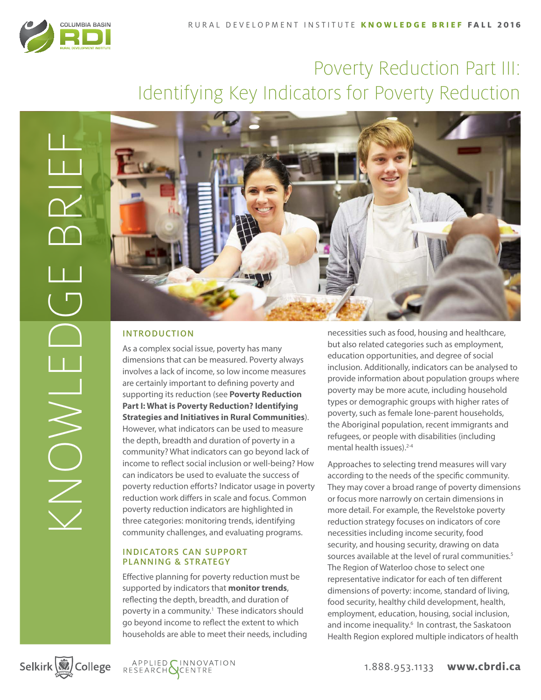

# Poverty Reduction Part III: Identifying Key Indicators for Poverty Reduction



## INTRODUCTION

As a complex social issue, poverty has many dimensions that can be measured. Poverty always involves a lack of income, so low income measures are certainly important to defining poverty and supporting its reduction (see **Poverty Reduction Part I: What is Poverty Reduction? Identifying Strategies and Initiatives in Rural Communities**). However, what indicators can be used to measure the depth, breadth and duration of poverty in a community? What indicators can go beyond lack of income to reflect social inclusion or well-being? How can indicators be used to evaluate the success of poverty reduction efforts? Indicator usage in poverty reduction work differs in scale and focus. Common poverty reduction indicators are highlighted in three categories: monitoring trends, identifying community challenges, and evaluating programs.

#### INDICATORS CAN SUPPORT PLANNING & STRATEGY

Effective planning for poverty reduction must be supported by indicators that **monitor trends**, reflecting the depth, breadth, and duration of poverty in a community.<sup>1</sup> These indicators should go beyond income to reflect the extent to which households are able to meet their needs, including

necessities such as food, housing and healthcare, but also related categories such as employment, education opportunities, and degree of social inclusion. Additionally, indicators can be analysed to provide information about population groups where poverty may be more acute, including household types or demographic groups with higher rates of poverty, such as female lone-parent households, the Aboriginal population, recent immigrants and refugees, or people with disabilities (including mental health issues).<sup>2-4</sup>

Approaches to selecting trend measures will vary according to the needs of the specific community. They may cover a broad range of poverty dimensions or focus more narrowly on certain dimensions in more detail. For example, the Revelstoke poverty reduction strategy focuses on indicators of core necessities including income security, food security, and housing security, drawing on data sources available at the level of rural communities.<sup>5</sup> The Region of Waterloo chose to select one representative indicator for each of ten different dimensions of poverty: income, standard of living, food security, healthy child development, health, employment, education, housing, social inclusion, and income inequality.<sup>6</sup> In contrast, the Saskatoon Health Region explored multiple indicators of health

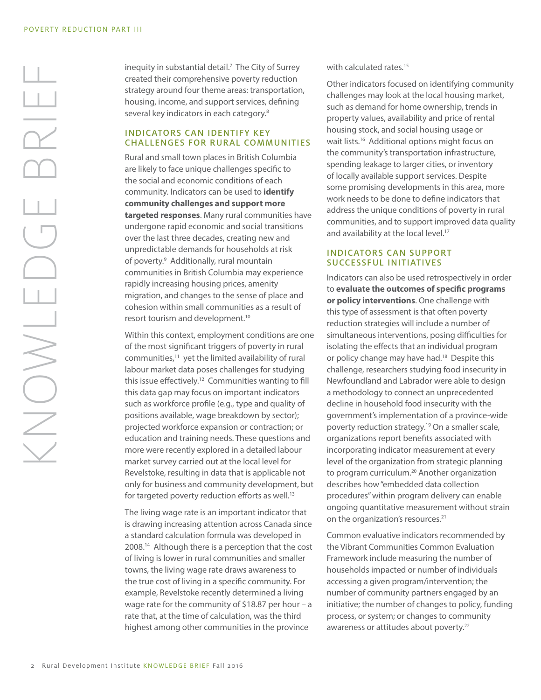inequity in substantial detail.<sup>7</sup> The City of Surrey created their comprehensive poverty reduction strategy around four theme areas: transportation, housing, income, and support services, defining several key indicators in each category.<sup>8</sup>

#### INDICATORS CAN IDENTIFY KEY CHALLENGES FOR RURAL COMMUNITIES

Rural and small town places in British Columbia are likely to face unique challenges specific to the social and economic conditions of each community. Indicators can be used to **identify community challenges and support more targeted responses**. Many rural communities have undergone rapid economic and social transitions over the last three decades, creating new and unpredictable demands for households at risk of poverty.<sup>9</sup> Additionally, rural mountain communities in British Columbia may experience rapidly increasing housing prices, amenity migration, and changes to the sense of place and cohesion within small communities as a result of resort tourism and development.10

Within this context, employment conditions are one of the most significant triggers of poverty in rural communities, $11$  yet the limited availability of rural labour market data poses challenges for studying this issue effectively.12 Communities wanting to fill this data gap may focus on important indicators such as workforce profile (e.g., type and quality of positions available, wage breakdown by sector); projected workforce expansion or contraction; or education and training needs. These questions and more were recently explored in a detailed labour market survey carried out at the local level for Revelstoke, resulting in data that is applicable not only for business and community development, but for targeted poverty reduction efforts as well.<sup>13</sup>

The living wage rate is an important indicator that is drawing increasing attention across Canada since a standard calculation formula was developed in 2008.14 Although there is a perception that the cost of living is lower in rural communities and smaller towns, the living wage rate draws awareness to the true cost of living in a specific community. For example, Revelstoke recently determined a living wage rate for the community of \$18.87 per hour – a rate that, at the time of calculation, was the third highest among other communities in the province

with calculated rates.<sup>15</sup>

Other indicators focused on identifying community challenges may look at the local housing market, such as demand for home ownership, trends in property values, availability and price of rental housing stock, and social housing usage or wait lists.16 Additional options might focus on the community's transportation infrastructure, spending leakage to larger cities, or inventory of locally available support services. Despite some promising developments in this area, more work needs to be done to define indicators that address the unique conditions of poverty in rural communities, and to support improved data quality and availability at the local level.<sup>17</sup>

### INDICATORS CAN SUPPORT SUCCESSFUL INITIATIVES

Indicators can also be used retrospectively in order to **evaluate the outcomes of specific programs or policy interventions**. One challenge with this type of assessment is that often poverty reduction strategies will include a number of simultaneous interventions, posing difficulties for isolating the effects that an individual program or policy change may have had.<sup>18</sup> Despite this challenge, researchers studying food insecurity in Newfoundland and Labrador were able to design a methodology to connect an unprecedented decline in household food insecurity with the government's implementation of a province-wide poverty reduction strategy.19 On a smaller scale, organizations report benefits associated with incorporating indicator measurement at every level of the organization from strategic planning to program curriculum.<sup>20</sup> Another organization describes how "embedded data collection procedures" within program delivery can enable ongoing quantitative measurement without strain on the organization's resources.<sup>21</sup>

Common evaluative indicators recommended by the Vibrant Communities Common Evaluation Framework include measuring the number of households impacted or number of individuals accessing a given program/intervention; the number of community partners engaged by an initiative; the number of changes to policy, funding process, or system; or changes to community awareness or attitudes about poverty.<sup>22</sup>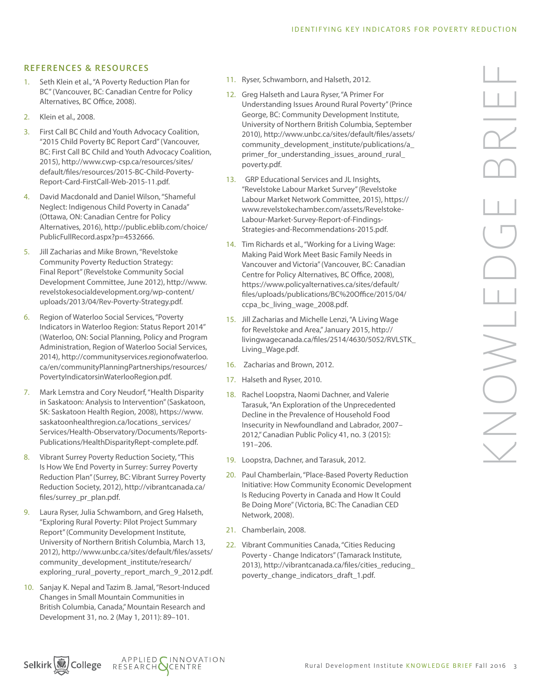#### REFERENCES & RESOURCES

- 1. Seth Klein et al., "A Poverty Reduction Plan for BC" (Vancouver, BC: Canadian Centre for Policy Alternatives, BC Office, 2008).
- 2. Klein et al., 2008.
- 3. First Call BC Child and Youth Advocacy Coalition, "2015 Child Poverty BC Report Card" (Vancouver, BC: First Call BC Child and Youth Advocacy Coalition, 2015), http://www.cwp-csp.ca/resources/sites/ default/files/resources/2015-BC-Child-Poverty-Report-Card-FirstCall-Web-2015-11.pdf.
- 4. David Macdonald and Daniel Wilson, "Shameful Neglect: Indigenous Child Poverty in Canada" (Ottawa, ON: Canadian Centre for Policy Alternatives, 2016), http://public.eblib.com/choice/ PublicFullRecord.aspx?p=4532666.
- 5. Jill Zacharias and Mike Brown, "Revelstoke Community Poverty Reduction Strategy: Final Report" (Revelstoke Community Social Development Committee, June 2012), http://www. revelstokesocialdevelopment.org/wp-content/ uploads/2013/04/Rev-Poverty-Strategy.pdf.
- 6. Region of Waterloo Social Services, "Poverty Indicators in Waterloo Region: Status Report 2014" (Waterloo, ON: Social Planning, Policy and Program Administration, Region of Waterloo Social Services, 2014), http://communityservices.regionofwaterloo. ca/en/communityPlanningPartnerships/resources/ PovertyIndicatorsinWaterlooRegion.pdf.
- 7. Mark Lemstra and Cory Neudorf, "Health Disparity in Saskatoon: Analysis to Intervention" (Saskatoon, SK: Saskatoon Health Region, 2008), https://www. saskatoonhealthregion.ca/locations\_services/ Services/Health-Observatory/Documents/Reports-Publications/HealthDisparityRept-complete.pdf.
- 8. Vibrant Surrey Poverty Reduction Society, "This Is How We End Poverty in Surrey: Surrey Poverty Reduction Plan" (Surrey, BC: Vibrant Surrey Poverty Reduction Society, 2012), http://vibrantcanada.ca/ files/surrey\_pr\_plan.pdf.
- 9. Laura Ryser, Julia Schwamborn, and Greg Halseth, "Exploring Rural Poverty: Pilot Project Summary Report" (Community Development Institute, University of Northern British Columbia, March 13, 2012), http://www.unbc.ca/sites/default/files/assets/ community\_development\_institute/research/ exploring\_rural\_poverty\_report\_march\_9\_2012.pdf.
- 10. Sanjay K. Nepal and Tazim B. Jamal, "Resort-Induced Changes in Small Mountain Communities in British Columbia, Canada," Mountain Research and Development 31, no. 2 (May 1, 2011): 89–101.
- 11. Ryser, Schwamborn, and Halseth, 2012.
- 12. Greg Halseth and Laura Ryser, "A Primer For Understanding Issues Around Rural Poverty" (Prince George, BC: Community Development Institute, University of Northern British Columbia, September 2010), http://www.unbc.ca/sites/default/files/assets/ community\_development\_institute/publications/a\_ primer\_for\_understanding\_issues\_around\_rural\_ poverty.pdf.
- 13. GRP Educational Services and JL Insights, "Revelstoke Labour Market Survey" (Revelstoke Labour Market Network Committee, 2015), https:// www.revelstokechamber.com/assets/Revelstoke-Labour-Market-Survey-Report-of-Findings-Strategies-and-Recommendations-2015.pdf.
- 14. Tim Richards et al., "Working for a Living Wage: Making Paid Work Meet Basic Family Needs in Vancouver and Victoria" (Vancouver, BC: Canadian Centre for Policy Alternatives, BC Office, 2008), https://www.policyalternatives.ca/sites/default/ files/uploads/publications/BC%20Office/2015/04/ ccpa\_bc\_living\_wage\_2008.pdf.
- 15. Jill Zacharias and Michelle Lenzi, "A Living Wage for Revelstoke and Area," January 2015, http:// livingwagecanada.ca/files/2514/4630/5052/RVLSTK\_ Living\_Wage.pdf.
- 16. Zacharias and Brown, 2012.
- 17. Halseth and Ryser, 2010.
- 18. Rachel Loopstra, Naomi Dachner, and Valerie Tarasuk, "An Exploration of the Unprecedented Decline in the Prevalence of Household Food Insecurity in Newfoundland and Labrador, 2007– 2012," Canadian Public Policy 41, no. 3 (2015): 191–206.
- 19. Loopstra, Dachner, and Tarasuk, 2012.
- 20. Paul Chamberlain, "Place-Based Poverty Reduction Initiative: How Community Economic Development Is Reducing Poverty in Canada and How It Could Be Doing More" (Victoria, BC: The Canadian CED Network, 2008).
- 21. Chamberlain, 2008.
- 22. Vibrant Communities Canada, "Cities Reducing Poverty - Change Indicators" (Tamarack Institute, 2013), http://vibrantcanada.ca/files/cities\_reducing\_ poverty\_change\_indicators\_draft\_1.pdf.